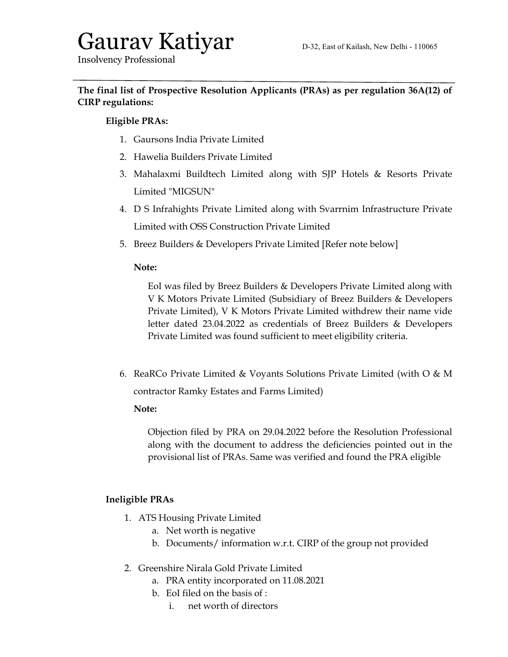# Gaurav Katiyar D-32, East of Kailash, New Delhi - 110065

Insolvency Professional

# The final list of Prospective Resolution Applicants (PRAs) as per regulation 36A(12) of CIRP regulations:

## Eligible PRAs:

- 1. Gaursons India Private Limited
- 2. Hawelia Builders Private Limited
- 3. Mahalaxmi Buildtech Limited along with SJP Hotels & Resorts Private Limited "MIGSUN"
- 4. D S Infrahights Private Limited along with Svarrnim Infrastructure Private Limited with OSS Construction Private Limited
- 5. Breez Builders & Developers Private Limited [Refer note below]

#### Note:

EoI was filed by Breez Builders & Developers Private Limited along with V K Motors Private Limited (Subsidiary of Breez Builders & Developers Private Limited), V K Motors Private Limited withdrew their name vide letter dated 23.04.2022 as credentials of Breez Builders & Developers Private Limited was found sufficient to meet eligibility criteria.

6. ReaRCo Private Limited & Voyants Solutions Private Limited (with O & M contractor Ramky Estates and Farms Limited)

#### Note:

Objection filed by PRA on 29.04.2022 before the Resolution Professional along with the document to address the deficiencies pointed out in the provisional list of PRAs. Same was verified and found the PRA eligible

### Ineligible PRAs

- 1. ATS Housing Private Limited
	- a. Net worth is negative
	- b. Documents/ information w.r.t. CIRP of the group not provided
- 2. Greenshire Nirala Gold Private Limited
	- a. PRA entity incorporated on 11.08.2021
	- b. EoI filed on the basis of :
		- i. net worth of directors